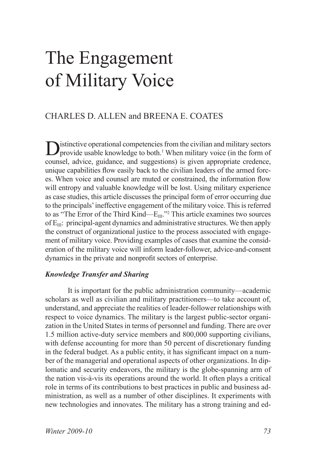# The Engagement of Military Voice

# CHARLES D. ALLEN and BREENA E. COATES

Distinctive operational competencies from the civilian and military sectors<br>provide usable knowledge to both.<sup>1</sup> When military voice (in the form of counsel, advice, guidance, and suggestions) is given appropriate credence, unique capabilities flow easily back to the civilian leaders of the armed forces. When voice and counsel are muted or constrained, the information flow will entropy and valuable knowledge will be lost. Using military experience as case studies, this article discusses the principal form of error occurring due to the principals' ineffective engagement of the military voice. This is referred to as "The Error of the Third Kind— $E_{III}$ ."<sup>2</sup> This article examines two sources of  $E_{III}$ : principal-agent dynamics and administrative structures. We then apply the construct of organizational justice to the process associated with engagement of military voice. Providing examples of cases that examine the consideration of the military voice will inform leader-follower, advice-and-consent dynamics in the private and nonprofit sectors of enterprise.

## *Knowledge Transfer and Sharing*

It is important for the public administration community—academic scholars as well as civilian and military practitioners—to take account of, understand, and appreciate the realities of leader-follower relationships with respect to voice dynamics. The military is the largest public-sector organization in the United States in terms of personnel and funding. There are over 1.5 million active-duty service members and 800,000 supporting civilians, with defense accounting for more than 50 percent of discretionary funding in the federal budget. As a public entity, it has significant impact on a number of the managerial and operational aspects of other organizations. In diplomatic and security endeavors, the military is the globe-spanning arm of the nation vis-à-vis its operations around the world. It often plays a critical role in terms of its contributions to best practices in public and business administration, as well as a number of other disciplines. It experiments with new technologies and innovates. The military has a strong training and ed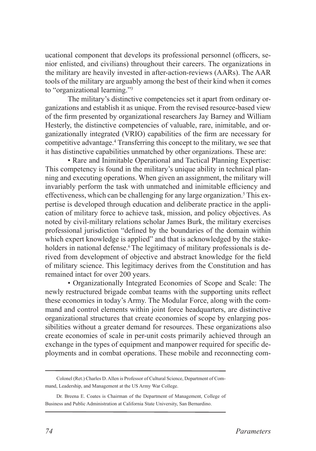ucational component that develops its professional personnel (officers, senior enlisted, and civilians) throughout their careers. The organizations in the military are heavily invested in after-action-reviews (AARs). The AAR tools of the military are arguably among the best of their kind when it comes to "organizational learning."3

The military's distinctive competencies set it apart from ordinary organizations and establish it as unique. From the revised resource-based view of the firm presented by organizational researchers Jay Barney and William Hesterly, the distinctive competencies of valuable, rare, inimitable, and organizationally integrated (VRIO) capabilities of the firm are necessary for competitive advantage.4 Transferring this concept to the military, we see that it has distinctive capabilities unmatched by other organizations. These are:

• Rare and Inimitable Operational and Tactical Planning Expertise: This competency is found in the military's unique ability in technical planning and executing operations. When given an assignment, the military will invariably perform the task with unmatched and inimitable efficiency and effectiveness, which can be challenging for any large organization.<sup>5</sup> This expertise is developed through education and deliberate practice in the application of military force to achieve task, mission, and policy objectives. As noted by civil-military relations scholar James Burk, the military exercises professional jurisdiction "defined by the boundaries of the domain within which expert knowledge is applied" and that is acknowledged by the stakeholders in national defense.<sup>6</sup> The legitimacy of military professionals is derived from development of objective and abstract knowledge for the field of military science. This legitimacy derives from the Constitution and has remained intact for over 200 years.

• Organizationally Integrated Economies of Scope and Scale: The newly restructured brigade combat teams with the supporting units reflect these economies in today's Army. The Modular Force, along with the command and control elements within joint force headquarters, are distinctive organizational structures that create economies of scope by enlarging possibilities without a greater demand for resources. These organizations also create economies of scale in per-unit costs primarily achieved through an exchange in the types of equipment and manpower required for specific deployments and in combat operations. These mobile and reconnecting com-

Colonel (Ret.) Charles D. Allen is Professor of Cultural Science, Department of Command, Leadership, and Management at the US Army War College.

Dr. Breena E. Coates is Chairman of the Department of Management, College of Business and Public Administration at California State University, San Bernardino.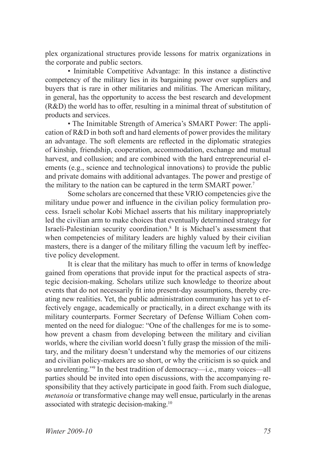plex organizational structures provide lessons for matrix organizations in the corporate and public sectors.

• Inimitable Competitive Advantage: In this instance a distinctive competency of the military lies in its bargaining power over suppliers and buyers that is rare in other militaries and militias. The American military, in general, has the opportunity to access the best research and development (R&D) the world has to offer, resulting in a minimal threat of substitution of products and services.

• The Inimitable Strength of America's SMART Power: The application of R&D in both soft and hard elements of power provides the military an advantage. The soft elements are reflected in the diplomatic strategies of kinship, friendship, cooperation, accommodation, exchange and mutual harvest, and collusion; and are combined with the hard entrepreneurial elements (e.g., science and technological innovations) to provide the public and private domains with additional advantages. The power and prestige of the military to the nation can be captured in the term SMART power.<sup>7</sup>

Some scholars are concerned that these VRIO competencies give the military undue power and influence in the civilian policy formulation process. Israeli scholar Kobi Michael asserts that his military inappropriately led the civilian arm to make choices that eventually determined strategy for Israeli-Palestinian security coordination.8 It is Michael's assessment that when competencies of military leaders are highly valued by their civilian masters, there is a danger of the military filling the vacuum left by ineffective policy development.

It is clear that the military has much to offer in terms of knowledge gained from operations that provide input for the practical aspects of strategic decision-making. Scholars utilize such knowledge to theorize about events that do not necessarily fit into present-day assumptions, thereby creating new realities. Yet, the public administration community has yet to effectively engage, academically or practically, in a direct exchange with its military counterparts. Former Secretary of Defense William Cohen commented on the need for dialogue: "One of the challenges for me is to somehow prevent a chasm from developing between the military and civilian worlds, where the civilian world doesn't fully grasp the mission of the military, and the military doesn't understand why the memories of our citizens and civilian policy-makers are so short, or why the criticism is so quick and so unrelenting."9 In the best tradition of democracy—i.e., many voices—all parties should be invited into open discussions, with the accompanying responsibility that they actively participate in good faith. From such dialogue, *metanoia* or transformative change may well ensue, particularly in the arenas associated with strategic decision-making.10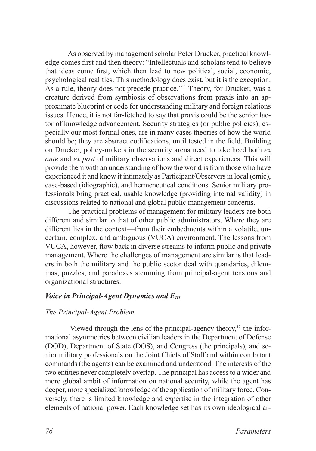As observed by management scholar Peter Drucker, practical knowledge comes first and then theory: "Intellectuals and scholars tend to believe that ideas come first, which then lead to new political, social, economic, psychological realities. This methodology does exist, but it is the exception. As a rule, theory does not precede practice."<sup>11</sup> Theory, for Drucker, was a creature derived from symbiosis of observations from praxis into an approximate blueprint or code for understanding military and foreign relations issues. Hence, it is not far-fetched to say that praxis could be the senior factor of knowledge advancement. Security strategies (or public policies), especially our most formal ones, are in many cases theories of how the world should be; they are abstract codifications, until tested in the field. Building on Drucker, policy-makers in the security arena need to take heed both *ex ante* and *ex post* of military observations and direct experiences. This will provide them with an understanding of how the world is from those who have experienced it and know it intimately as Participant/Observers in local (emic), case-based (idiographic), and hermeneutical conditions. Senior military professionals bring practical, usable knowledge (providing internal validity) in discussions related to national and global public management concerns.

The practical problems of management for military leaders are both different and similar to that of other public administrators. Where they are different lies in the context—from their embedments within a volatile, uncertain, complex, and ambiguous (VUCA) environment. The lessons from VUCA, however, flow back in diverse streams to inform public and private management. Where the challenges of management are similar is that leaders in both the military and the public sector deal with quandaries, dilemmas, puzzles, and paradoxes stemming from principal-agent tensions and organizational structures.

# *Voice in Principal-Agent Dynamics and E<sub>III</sub>*

## *The Principal-Agent Problem*

Viewed through the lens of the principal-agency theory, $12$  the informational asymmetries between civilian leaders in the Department of Defense (DOD), Department of State (DOS), and Congress (the principals), and senior military professionals on the Joint Chiefs of Staff and within combatant commands (the agents) can be examined and understood. The interests of the two entities never completely overlap. The principal has access to a wider and more global ambit of information on national security, while the agent has deeper, more specialized knowledge of the application of military force. Conversely, there is limited knowledge and expertise in the integration of other elements of national power. Each knowledge set has its own ideological ar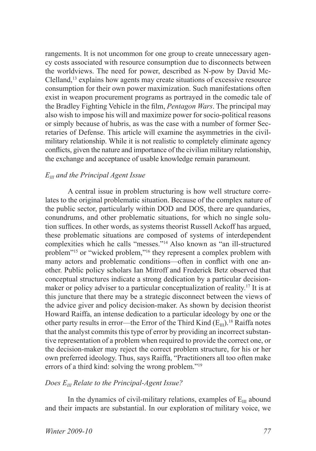rangements. It is not uncommon for one group to create unnecessary agency costs associated with resource consumption due to disconnects between the worldviews. The need for power, described as N-pow by David Mc-Clelland,13 explains how agents may create situations of excessive resource consumption for their own power maximization. Such manifestations often exist in weapon procurement programs as portrayed in the comedic tale of the Bradley Fighting Vehicle in the film, *Pentagon Wars*. The principal may also wish to impose his will and maximize power for socio-political reasons or simply because of hubris, as was the case with a number of former Secretaries of Defense. This article will examine the asymmetries in the civilmilitary relationship. While it is not realistic to completely eliminate agency conflicts, given the nature and importance of the civilian military relationship, the exchange and acceptance of usable knowledge remain paramount.

#### *EIII and the Principal Agent Issue*

A central issue in problem structuring is how well structure correlates to the original problematic situation. Because of the complex nature of the public sector, particularly within DOD and DOS, there are quandaries, conundrums, and other problematic situations, for which no single solution suffices. In other words, as systems theorist Russell Ackoff has argued, these problematic situations are composed of systems of interdependent complexities which he calls "messes."14 Also known as "an ill-structured problem"15 or "wicked problem,"16 they represent a complex problem with many actors and problematic conditions—often in conflict with one another. Public policy scholars Ian Mitroff and Frederick Betz observed that conceptual structures indicate a strong dedication by a particular decisionmaker or policy adviser to a particular conceptualization of reality.<sup>17</sup> It is at this juncture that there may be a strategic disconnect between the views of the advice giver and policy decision-maker. As shown by decision theorist Howard Raiffa, an intense dedication to a particular ideology by one or the other party results in error—the Error of the Third Kind  $(E_{III})$ .<sup>18</sup> Raiffa notes that the analyst commits this type of error by providing an incorrect substantive representation of a problem when required to provide the correct one, or the decision-maker may reject the correct problem structure, for his or her own preferred ideology. Thus, says Raiffa, "Practitioners all too often make errors of a third kind: solving the wrong problem."19

#### *Does EIII Relate to the Principal-Agent Issue?*

In the dynamics of civil-military relations, examples of  $E_{III}$  abound and their impacts are substantial. In our exploration of military voice, we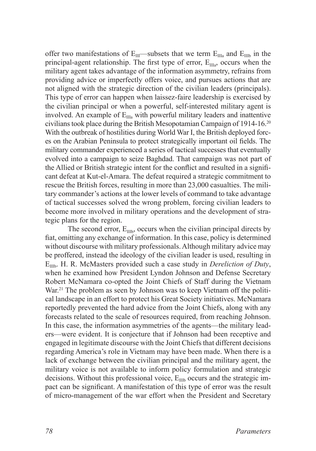offer two manifestations of  $E_{III}$ —subsets that we term  $E_{IIa}$  and  $E_{IIIb}$  in the principal-agent relationship. The first type of error,  $E_{IIIa}$ , occurs when the military agent takes advantage of the information asymmetry, refrains from providing advice or imperfectly offers voice, and pursues actions that are not aligned with the strategic direction of the civilian leaders (principals). This type of error can happen when laissez-faire leadership is exercised by the civilian principal or when a powerful, self-interested military agent is involved. An example of  $E_{IIa}$  with powerful military leaders and inattentive civilians took place during the British Mesopotamian Campaign of 1914-16.20 With the outbreak of hostilities during World War I, the British deployed forces on the Arabian Peninsula to protect strategically important oil fields. The military commander experienced a series of tactical successes that eventually evolved into a campaign to seize Baghdad. That campaign was not part of the Allied or British strategic intent for the conflict and resulted in a significant defeat at Kut-el-Amara. The defeat required a strategic commitment to rescue the British forces, resulting in more than 23,000 casualties. The military commander's actions at the lower levels of command to take advantage of tactical successes solved the wrong problem, forcing civilian leaders to become more involved in military operations and the development of strategic plans for the region.

The second error,  $E_{\text{IIIb}}$ , occurs when the civilian principal directs by fiat, omitting any exchange of information. In this case, policy is determined without discourse with military professionals. Although military advice may be proffered, instead the ideology of the civilian leader is used, resulting in E<sub>IIIb</sub>. H. R. McMasters provided such a case study in *Dereliction of Duty*, when he examined how President Lyndon Johnson and Defense Secretary Robert McNamara co-opted the Joint Chiefs of Staff during the Vietnam War.<sup>21</sup> The problem as seen by Johnson was to keep Vietnam off the political landscape in an effort to protect his Great Society initiatives. McNamara reportedly prevented the hard advice from the Joint Chiefs, along with any forecasts related to the scale of resources required, from reaching Johnson. In this case, the information asymmetries of the agents—the military leaders—were evident. It is conjecture that if Johnson had been receptive and engaged in legitimate discourse with the Joint Chiefs that different decisions regarding America's role in Vietnam may have been made. When there is a lack of exchange between the civilian principal and the military agent, the military voice is not available to inform policy formulation and strategic decisions. Without this professional voice,  $E_{\text{IIIb}}$  occurs and the strategic impact can be significant. A manifestation of this type of error was the result of micro-management of the war effort when the President and Secretary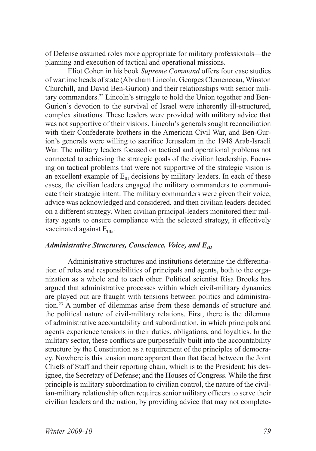of Defense assumed roles more appropriate for military professionals—the planning and execution of tactical and operational missions.

Eliot Cohen in his book *Supreme Command* offers four case studies of wartime heads of state (Abraham Lincoln, Georges Clemenceau, Winston Churchill, and David Ben-Gurion) and their relationships with senior military commanders.22 Lincoln's struggle to hold the Union together and Ben-Gurion's devotion to the survival of Israel were inherently ill-structured, complex situations. These leaders were provided with military advice that was not supportive of their visions. Lincoln's generals sought reconciliation with their Confederate brothers in the American Civil War, and Ben-Gurion's generals were willing to sacrifice Jerusalem in the 1948 Arab-Israeli War. The military leaders focused on tactical and operational problems not connected to achieving the strategic goals of the civilian leadership. Focusing on tactical problems that were not supportive of the strategic vision is an excellent example of  $E_{III}$  decisions by military leaders. In each of these cases, the civilian leaders engaged the military commanders to communicate their strategic intent. The military commanders were given their voice, advice was acknowledged and considered, and then civilian leaders decided on a different strategy. When civilian principal-leaders monitored their military agents to ensure compliance with the selected strategy, it effectively vaccinated against  $E_{\text{IIa}}$ .

#### *Administrative Structures, Conscience, Voice, and E<sub>III</sub>*

Administrative structures and institutions determine the differentiation of roles and responsibilities of principals and agents, both to the organization as a whole and to each other. Political scientist Risa Brooks has argued that administrative processes within which civil-military dynamics are played out are fraught with tensions between politics and administration.23 A number of dilemmas arise from these demands of structure and the political nature of civil-military relations. First, there is the dilemma of administrative accountability and subordination, in which principals and agents experience tensions in their duties, obligations, and loyalties. In the military sector, these conflicts are purposefully built into the accountability structure by the Constitution as a requirement of the principles of democracy. Nowhere is this tension more apparent than that faced between the Joint Chiefs of Staff and their reporting chain, which is to the President; his designee, the Secretary of Defense; and the Houses of Congress. While the first principle is military subordination to civilian control, the nature of the civilian-military relationship often requires senior military officers to serve their civilian leaders and the nation, by providing advice that may not complete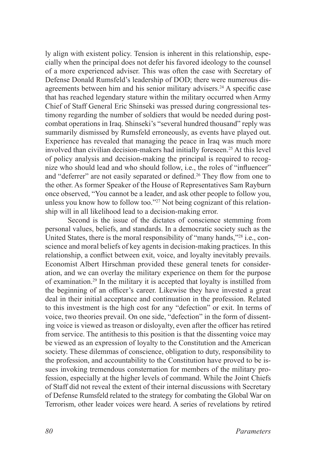ly align with existent policy. Tension is inherent in this relationship, especially when the principal does not defer his favored ideology to the counsel of a more experienced adviser. This was often the case with Secretary of Defense Donald Rumsfeld's leadership of DOD; there were numerous disagreements between him and his senior military advisers.<sup>24</sup> A specific case that has reached legendary stature within the military occurred when Army Chief of Staff General Eric Shinseki was pressed during congressional testimony regarding the number of soldiers that would be needed during postcombat operations in Iraq. Shinseki's "several hundred thousand" reply was summarily dismissed by Rumsfeld erroneously, as events have played out. Experience has revealed that managing the peace in Iraq was much more involved than civilian decision-makers had initially foreseen.<sup>25</sup> At this level of policy analysis and decision-making the principal is required to recognize who should lead and who should follow, i.e., the roles of "influencer" and "deferrer" are not easily separated or defined.<sup>26</sup> They flow from one to the other. As former Speaker of the House of Representatives Sam Rayburn once observed, "You cannot be a leader, and ask other people to follow you, unless you know how to follow too."27 Not being cognizant of this relationship will in all likelihood lead to a decision-making error.

Second is the issue of the dictates of conscience stemming from personal values, beliefs, and standards. In a democratic society such as the United States, there is the moral responsibility of "many hands,"28 i.e., conscience and moral beliefs of key agents in decision-making practices. In this relationship, a conflict between exit, voice, and loyalty inevitably prevails. Economist Albert Hirschman provided these general tenets for consideration, and we can overlay the military experience on them for the purpose of examination.29 In the military it is accepted that loyalty is instilled from the beginning of an officer's career. Likewise they have invested a great deal in their initial acceptance and continuation in the profession. Related to this investment is the high cost for any "defection" or exit. In terms of voice, two theories prevail. On one side, "defection" in the form of dissenting voice is viewed as treason or disloyalty, even after the officer has retired from service. The antithesis to this position is that the dissenting voice may be viewed as an expression of loyalty to the Constitution and the American society. These dilemmas of conscience, obligation to duty, responsibility to the profession, and accountability to the Constitution have proved to be issues invoking tremendous consternation for members of the military profession, especially at the higher levels of command. While the Joint Chiefs of Staff did not reveal the extent of their internal discussions with Secretary of Defense Rumsfeld related to the strategy for combating the Global War on Terrorism, other leader voices were heard. A series of revelations by retired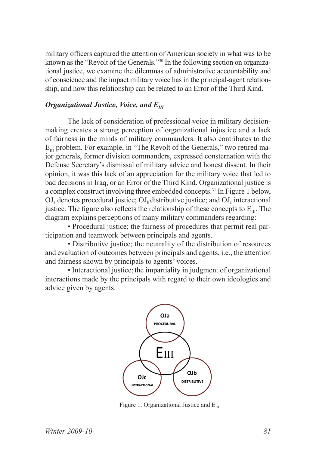military officers captured the attention of American society in what was to be known as the "Revolt of the Generals."30 In the following section on organizational justice, we examine the dilemmas of administrative accountability and of conscience and the impact military voice has in the principal-agent relationship, and how this relationship can be related to an Error of the Third Kind.

#### *Organizational Justice, Voice, and*  $E_{III}$

The lack of consideration of professional voice in military decisionmaking creates a strong perception of organizational injustice and a lack of fairness in the minds of military commanders. It also contributes to the  $E_{\text{m}}$  problem. For example, in "The Revolt of the Generals," two retired major generals, former division commanders, expressed consternation with the Defense Secretary's dismissal of military advice and honest dissent. In their opinion, it was this lack of an appreciation for the military voice that led to bad decisions in Iraq, or an Error of the Third Kind. Organizational justice is a complex construct involving three embedded concepts.31 In Figure 1 below,  $\rm{OJ}_a$  denotes procedural justice;  $\rm{OJ}_b$  distributive justice; and  $\rm{OJ}_c$  interactional justice. The figure also reflects the relationship of these concepts to  $E_{\text{m}}$ . The diagram explains perceptions of many military commanders regarding:

• Procedural justice; the fairness of procedures that permit real participation and teamwork between principals and agents.

• Distributive justice; the neutrality of the distribution of resources and evaluation of outcomes between principals and agents, i.e., the attention and fairness shown by principals to agents' voices.

• Interactional justice; the impartiality in judgment of organizational interactions made by the principals with regard to their own ideologies and advice given by agents.



Figure 1. Organizational Justice and  $E_{III}$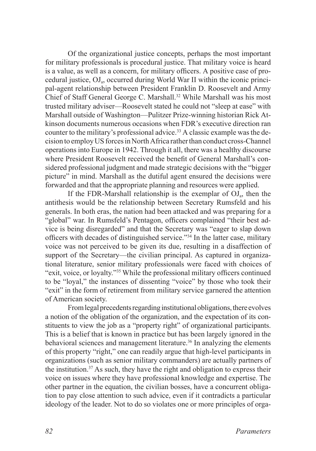Of the organizational justice concepts, perhaps the most important for military professionals is procedural justice. That military voice is heard is a value, as well as a concern, for military officers. A positive case of procedural justice,  $O_{a}$ , occurred during World War II within the iconic principal-agent relationship between President Franklin D. Roosevelt and Army Chief of Staff General George C. Marshall.<sup>32</sup> While Marshall was his most trusted military adviser—Roosevelt stated he could not "sleep at ease" with Marshall outside of Washington—Pulitzer Prize-winning historian Rick Atkinson documents numerous occasions when FDR's executive direction ran counter to the military's professional advice.<sup>33</sup> A classic example was the decision to employ US forces in North Africa rather than conduct cross-Channel operations into Europe in 1942. Through it all, there was a healthy discourse where President Roosevelt received the benefit of General Marshall's considered professional judgment and made strategic decisions with the "bigger picture" in mind. Marshall as the dutiful agent ensured the decisions were forwarded and that the appropriate planning and resources were applied.

If the FDR-Marshall relationship is the exemplar of  $O_{a}$ , then the antithesis would be the relationship between Secretary Rumsfeld and his generals. In both eras, the nation had been attacked and was preparing for a "global" war. In Rumsfeld's Pentagon, officers complained "their best advice is being disregarded" and that the Secretary was "eager to slap down officers with decades of distinguished service."34 In the latter case, military voice was not perceived to be given its due, resulting in a disaffection of support of the Secretary—the civilian principal. As captured in organizational literature, senior military professionals were faced with choices of "exit, voice, or loyalty."35 While the professional military officers continued to be "loyal," the instances of dissenting "voice" by those who took their "exit" in the form of retirement from military service garnered the attention of American society.

From legal precedents regarding institutional obligations, there evolves a notion of the obligation of the organization, and the expectation of its constituents to view the job as a "property right" of organizational participants. This is a belief that is known in practice but has been largely ignored in the behavioral sciences and management literature.<sup>36</sup> In analyzing the elements of this property "right," one can readily argue that high-level participants in organizations (such as senior military commanders) are actually partners of the institution.37 As such, they have the right and obligation to express their voice on issues where they have professional knowledge and expertise. The other partner in the equation, the civilian bosses, have a concurrent obligation to pay close attention to such advice, even if it contradicts a particular ideology of the leader. Not to do so violates one or more principles of orga-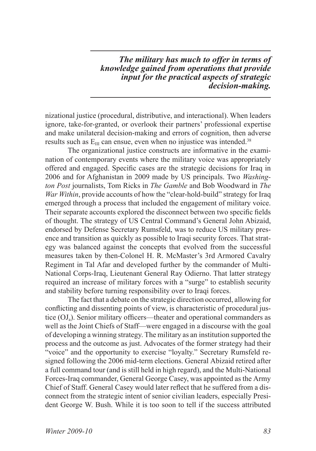*The military has much to offer in terms of knowledge gained from operations that provide input for the practical aspects of strategic decision-making.*

nizational justice (procedural, distributive, and interactional). When leaders ignore, take-for-granted, or overlook their partners' professional expertise and make unilateral decision-making and errors of cognition, then adverse results such as  $E_{III}$  can ensue, even when no injustice was intended.<sup>38</sup>

The organizational justice constructs are informative in the examination of contemporary events where the military voice was appropriately offered and engaged. Specific cases are the strategic decisions for Iraq in 2006 and for Afghanistan in 2009 made by US principals. Two *Washington Post* journalists, Tom Ricks in *The Gamble* and Bob Woodward in *The War Within*, provide accounts of how the "clear-hold-build" strategy for Iraq emerged through a process that included the engagement of military voice. Their separate accounts explored the disconnect between two specific fields of thought. The strategy of US Central Command's General John Abizaid, endorsed by Defense Secretary Rumsfeld, was to reduce US military presence and transition as quickly as possible to Iraqi security forces. That strategy was balanced against the concepts that evolved from the successful measures taken by then-Colonel H. R. McMaster's 3rd Armored Cavalry Regiment in Tal Afar and developed further by the commander of Multi-National Corps-Iraq, Lieutenant General Ray Odierno. That latter strategy required an increase of military forces with a "surge" to establish security and stability before turning responsibility over to Iraqi forces.

The fact that a debate on the strategic direction occurred, allowing for conflicting and dissenting points of view, is characteristic of procedural justice  $(OJ_a)$ . Senior military officers—theater and operational commanders as well as the Joint Chiefs of Staff—were engaged in a discourse with the goal of developing a winning strategy. The military as an institution supported the process and the outcome as just. Advocates of the former strategy had their "voice" and the opportunity to exercise "loyalty." Secretary Rumsfeld resigned following the 2006 mid-term elections. General Abizaid retired after a full command tour (and is still held in high regard), and the Multi-National Forces-Iraq commander, General George Casey, was appointed as the Army Chief of Staff. General Casey would later reflect that he suffered from a disconnect from the strategic intent of senior civilian leaders, especially President George W. Bush. While it is too soon to tell if the success attributed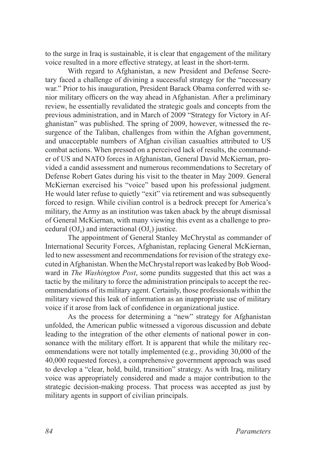to the surge in Iraq is sustainable, it is clear that engagement of the military voice resulted in a more effective strategy, at least in the short-term.

With regard to Afghanistan, a new President and Defense Secretary faced a challenge of divining a successful strategy for the "necessary war." Prior to his inauguration, President Barack Obama conferred with senior military officers on the way ahead in Afghanistan. After a preliminary review, he essentially revalidated the strategic goals and concepts from the previous administration, and in March of 2009 "Strategy for Victory in Afghanistan" was published. The spring of 2009, however, witnessed the resurgence of the Taliban, challenges from within the Afghan government, and unacceptable numbers of Afghan civilian casualties attributed to US combat actions. When pressed on a perceived lack of results, the commander of US and NATO forces in Afghanistan, General David McKiernan, provided a candid assessment and numerous recommendations to Secretary of Defense Robert Gates during his visit to the theater in May 2009. General McKiernan exercised his "voice" based upon his professional judgment. He would later refuse to quietly "exit" via retirement and was subsequently forced to resign. While civilian control is a bedrock precept for America's military, the Army as an institution was taken aback by the abrupt dismissal of General McKiernan, with many viewing this event as a challenge to procedural  $(OJ_a)$  and interactional  $(OJ_c)$  justice.

The appointment of General Stanley McChrystal as commander of International Security Forces, Afghanistan, replacing General McKiernan, led to new assessment and recommendations for revision of the strategy executed in Afghanistan. When the McChrystal report was leaked by Bob Woodward in *The Washington Post*, some pundits suggested that this act was a tactic by the military to force the administration principals to accept the recommendations of its military agent. Certainly, those professionals within the military viewed this leak of information as an inappropriate use of military voice if it arose from lack of confidence in organizational justice.

As the process for determining a "new" strategy for Afghanistan unfolded, the American public witnessed a vigorous discussion and debate leading to the integration of the other elements of national power in consonance with the military effort. It is apparent that while the military recommendations were not totally implemented (e.g., providing 30,000 of the 40,000 requested forces), a comprehensive government approach was used to develop a "clear, hold, build, transition" strategy. As with Iraq, military voice was appropriately considered and made a major contribution to the strategic decision-making process. That process was accepted as just by military agents in support of civilian principals.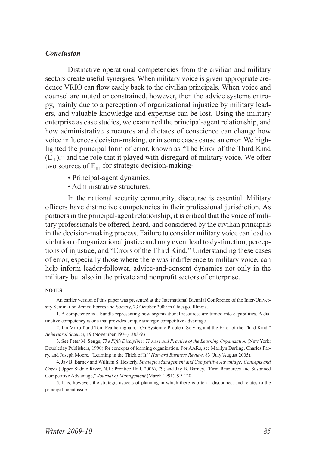#### *Conclusion*

Distinctive operational competencies from the civilian and military sectors create useful synergies. When military voice is given appropriate credence VRIO can flow easily back to the civilian principals. When voice and counsel are muted or constrained, however, then the advice systems entropy, mainly due to a perception of organizational injustice by military leaders, and valuable knowledge and expertise can be lost. Using the military enterprise as case studies, we examined the principal-agent relationship, and how administrative structures and dictates of conscience can change how voice influences decision-making, or in some cases cause an error. We highlighted the principal form of error, known as "The Error of the Third Kind  $(E_{III})$ ," and the role that it played with disregard of military voice. We offer two sources of  $E_{\text{III}}$  for strategic decision-making:

- Principal-agent dynamics.
- Administrative structures.

In the national security community, discourse is essential. Military officers have distinctive competencies in their professional jurisdiction. As partners in the principal-agent relationship, it is critical that the voice of military professionals be offered, heard, and considered by the civilian principals in the decision-making process. Failure to consider military voice can lead to violation of organizational justice and may even lead to dysfunction, perceptions of injustice, and "Errors of the Third Kind." Understanding these cases of error, especially those where there was indifference to military voice, can help inform leader-follower, advice-and-consent dynamics not only in the military but also in the private and nonprofit sectors of enterprise.

#### **NOTES**

An earlier version of this paper was presented at the International Biennial Conference of the Inter-University Seminar on Armed Forces and Society, 23 October 2009 in Chicago, Illinois.

1. A competence is a bundle representing how organizational resources are turned into capabilities. A distinctive competency is one that provides unique strategic competitive advantage.

2. Ian Mitroff and Tom Featheringham, "On Systemic Problem Solving and the Error of the Third Kind," *Behavioral Science*, 19 (November 1974), 383-93.

3. See Peter M. Senge, *The Fifth Discipline: The Art and Practice of the Learning Organization* (New York: Doubleday Publishers, 1990) for concepts of learning organization. For AARs, see Marilyn Darling, Charles Parry, and Joseph Moore, "Learning in the Thick of It," *Harvard Business Review*, 83 (July/August 2005).

4. Jay B. Barney and William S. Hesterly, *Strategic Management and Competitive Advantage: Concepts and Cases* (Upper Saddle River, N.J.: Prentice Hall, 2006), 79; and Jay B. Barney, "Firm Resources and Sustained Competitive Advantage," *Journal of Management* (March 1991), 99-120.

5. It is, however, the strategic aspects of planning in which there is often a disconnect and relates to the principal-agent issue.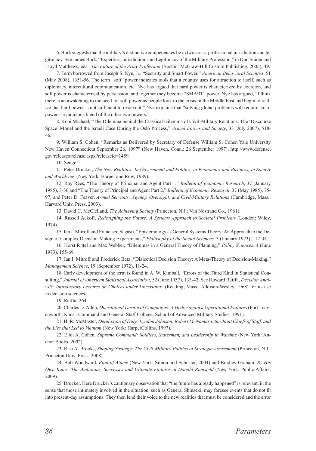6. Burk suggests that the military's distinctive competencies lie in two areas: professional jurisdiction and legitimacy. See James Burk, "Expertise, Jurisdiction, and Legitimacy of the Military Profession," in Don Snider and Lloyd Matthews, eds., *The Future of the Army Profession* (Boston: McGraw-Hill Custom Publishing, 2005), 49.

7. Term borrowed from Joseph S. Nye, Jr., "Security and Smart Power," *American Behavioral Scientist*, 51 (May 2008), 1351-56. The term "soft" power indicates tools that a country uses for attraction to itself, such as diplomacy, intercultural communication, etc. Nye has argued that hard power is characterized by coercion, and soft power is characterized by persuasion, and together they become "SMART" power. Nye has argued, "I think there is an awakening to the need for soft power as people look to the crisis in the Middle East and begin to realize that hard power is not sufficient to resolve it." Nye explains that "solving global problems will require smart power—a judicious blend of the other two powers."

8. Kobi Michael, "The Dilemma behind the Classical Dilemma of Civil-Military Relations: The 'Discourse Space' Model and the Israeli Case During the Oslo Process," *Armed Forces and Society*, 33 (July 2007), 518- 46.

9. William S. Cohen, "Remarks as Delivered by Secretary of Defense William S. Cohen Yale University New Haven Connecticut September 26, 1997" (New Haven, Conn.: 26 September 1997), http://www.defense. gov/releases/release.aspx?releaseid=1459.

10. Senge.

11. Peter Drucker, *The New Realities: In Government and Politics, in Economics and Business, in Society and Worldview* (New York: Harper and Row, 1989).

12. Ray Rees, "The Theory of Principal and Agent Part 1," *Bulletin of Economic Research*, 37 (January 1985), 3-36 and "The Theory of Principal and Agent Part 2," *Bulletin of Economic Research*, 37 (May 1985), 75- 97; and Peter D. Feaver, *Armed Servants: Agency, Oversight, and Civil-Military Relations* (Cambridge, Mass.: Harvard Univ. Press, 2003).

13. David C. McClelland, *The Achieving Society* (Princeton, N.J.: Van Nostrand Co., 1961).

14. Russell Ackoff, *Redesigning the Future: A Systems Approach to Societal Problems* (London: Wiley, 1974).

15. Ian I. Mitroff and Francisco Sagasti, "Epistemology as General Systems Theory: An Approach to the Design of Complex Decision-Making Experiments," *Philosophy of the Social Sciences,* 3 (January 1973), 117-34.

16. Horst Rittel and Max Webber, "Dilemmas in a General Theory of Planning," *Policy Sciences*, 4 (June 1973), 155-69.

17. Ian I. Mitroff and Frederick Betz, "Dialectical Decision Theory: A Meta-Theory of Decision-Making," *Management Science*, 19 (September 1972), 11-24.

18. Early development of the term is found in A. W. Kimball, "Errors of the Third Kind in Statistical Consulting," *Journal of American Statistical Association*, 52 (June 1957), 133-42. See Howard Raiffa, *Decision Analysis: Introductory Lectures on Choices under Uncertainty (Reading, Mass.: Addison-Wesley, 1968) for its use* in decision sciences.

19. Raiffa, 264.

20. Charles D. Allen, *Operational Design of Campaigns: A Hedge against Operational Failures* (Fort Leavenworth, Kans.: Command and General Staff College, School of Advanced Military Studies, 1991).

21. H. R. McMaster, *Dereliction of Duty: Lyndon Johnson, Robert McNamara, the Joint Chiefs of Staff, and the Lies that Led to Vietnam* (New York: HarperCollins, 1997).

22. Eliot A. Cohen, *Supreme Command: Soldiers, Statesmen, and Leadership in Wartime* (New York: Anchor Books, 2002).

23. Risa A. Brooks, *Shaping Strategy: The Civil-Military Politics of Strategic Assessment* (Princeton, N.J.: Princeton Univ. Press, 2008).

24. Bob Woodward, *Plan of Attack* (New York: Simon and Schuster, 2004) and Bradley Graham, *By His Own Rules: The Ambitions, Successes and Ultimate Failures of Donald Rumsfeld* (New York: Public Affairs, 2009).

25. Drucker. Here Drucker's cautionary observation that "the future has already happened" is relevant, in the sense that those intimately involved in the situation, such as General Shinseki, may foresee events that do not fit into present-day assumptions. They then lend their voice to the new realities that must be considered and the error